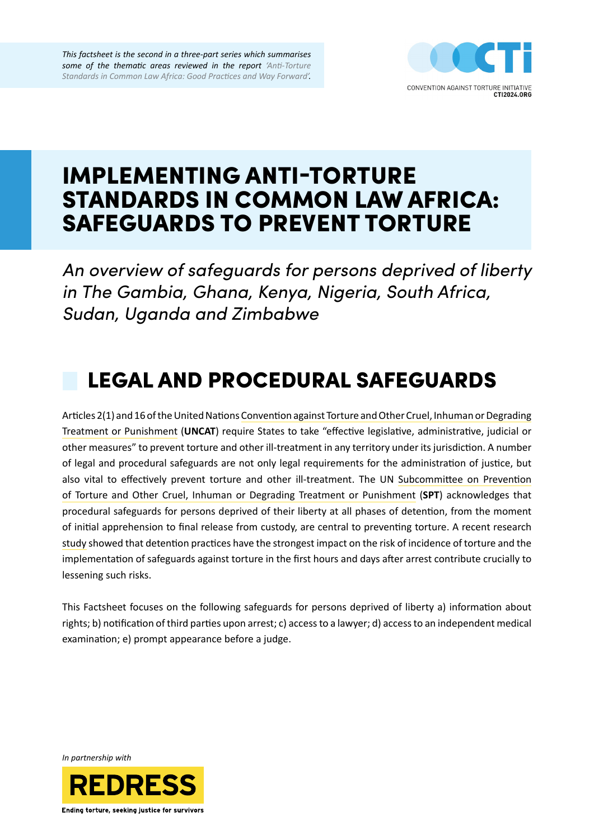

# IMPLEMENTING ANTI-TORTURE STANDARDS IN COMMON LAW AFRICA: SAFEGUARDS TO PREVENT TORTURE

*An overview of safeguards for persons deprived of liberty in The Gambia, Ghana, Kenya, Nigeria, South Africa, Sudan, Uganda and Zimbabwe*

# LEGAL AND PROCEDURAL SAFEGUARDS

Articles 2(1) and 16 of the [United Nations Convention against Torture and Other Cruel, Inhuman or Degrading](https://www.ohchr.org/en/professionalinterest/pages/cat.aspx)  [Treatment or Punishment](https://www.ohchr.org/en/professionalinterest/pages/cat.aspx) (**UNCAT**) require States to take "effective legislative, administrative, judicial or other measures" to prevent torture and other ill-treatment in any territory under its jurisdiction. A number of legal and procedural safeguards are not only legal requirements for the administration of justice, but also vital to effectively prevent torture and other ill-treatment. The UN [Subcommittee on Prevention](https://docstore.ohchr.org/SelfServices/FilesHandler.ashx?enc=6QkG1d%2fPPRiCAqhKb7yhsquBlBCPFD%2bXLNadyD9hiZ4R2ifOm%2fkPeiu3sYGHOmGMsGCei%2fqxK3MyHYEY%2bGl%2b0olrf33FTl4nDSkhMm0WAHWDw1BE%2fFCFsu8qp2vhJ5DM)  [of Torture and Other Cruel, Inhuman or Degrading Treatment or Punishment](https://docstore.ohchr.org/SelfServices/FilesHandler.ashx?enc=6QkG1d%2fPPRiCAqhKb7yhsquBlBCPFD%2bXLNadyD9hiZ4R2ifOm%2fkPeiu3sYGHOmGMsGCei%2fqxK3MyHYEY%2bGl%2b0olrf33FTl4nDSkhMm0WAHWDw1BE%2fFCFsu8qp2vhJ5DM) (**SPT**) acknowledges that procedural safeguards for persons deprived of their liberty at all phases of detention, from the moment of initial apprehension to final release from custody, are central to preventing torture. A recent research [study](https://www.cambridge.org/core/books/does-torture-prevention-work/F052646B3EFDE26F5D6BF44F34739838) showed that detention practices have the strongest impact on the risk of incidence of torture and the implementation of safeguards against torture in the first hours and days after arrest contribute crucially to lessening such risks.

This Factsheet focuses on the following safeguards for persons deprived of liberty a) information about rights; b) notification of third parties upon arrest; c) access to a lawyer; d) access to an independent medical examination; e) prompt appearance before a judge.

*In partnership with*

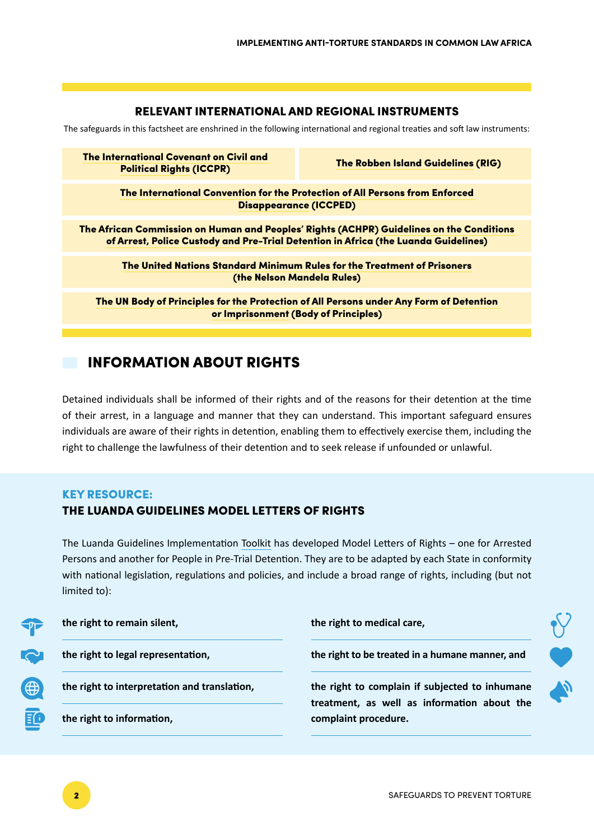## RELEVANT INTERNATIONAL AND REGIONAL INSTRUMENTS

The safeguards in this factsheet are enshrined in the following international and regional treaties and soft law instruments:

[The International Covenant on Civil and](https://www.ohchr.org/en/professionalinterest/pages/ccpr.aspx)  [Political Rights](https://www.ohchr.org/en/professionalinterest/pages/ccpr.aspx) (ICCPR)

[The Robben Island Guidelines](https://www.achpr.org/presspublic/publication?id=33) (RIG)

[The International Convention for the Protection of All Persons from Enforced](https://www.ohchr.org/en/hrbodies/ced/pages/conventionced.aspx)  [Disappearance](https://www.ohchr.org/en/hrbodies/ced/pages/conventionced.aspx) (ICCPED)

The African Commission on Human and Peoples' Rights (ACHPR) [Guidelines on the Conditions](https://www.achpr.org/public/Document/file/English/guidelines_on_arrest_police_custody_detention.pdf)  [of Arrest, Police Custody and Pre-Trial Detention in Africa](https://www.achpr.org/public/Document/file/English/guidelines_on_arrest_police_custody_detention.pdf) (the Luanda Guidelines)

[The United Nations Standard Minimum Rules for the Treatment of Prisoners](https://undocs.org/Home/Mobile?FinalSymbol=A%2FRES%2F70%2F175&Language=E&DeviceType=Desktop&LangRequested=False) (the Nelson Mandela Rules)

[The UN Body of Principles for the Protection of All Persons under Any Form of Detention](https://digitallibrary.un.org/record/53865?ln=en)  [or Imprisonment](https://digitallibrary.un.org/record/53865?ln=en) (Body of Principles)

# INFORMATION ABOUT RIGHTS

Detained individuals shall be informed of their rights and of the reasons for their detention at the time of their arrest, in a language and manner that they can understand. This important safeguard ensures individuals are aware of their rights in detention, enabling them to effectively exercise them, including the right to challenge the lawfulness of their detention and to seek release if unfounded or unlawful.

## KEY RESOURCE:

## THE LUANDA GUIDELINES MODEL LETTERS OF RIGHTS

The Luanda Guidelines Implementation [Toolkit](https://www.achpr.org/public/Document/file/English/conditions_of_arrest_police_custody_toolkit.pdf) has developed Model Letters of Rights – one for Arrested Persons and another for People in Pre-Trial Detention. They are to be adapted by each State in conformity with national legislation, regulations and policies, and include a broad range of rights, including (but not limited to):

|             | the right to remain silent,                  | the right to medical care,                                                                    |  |  |
|-------------|----------------------------------------------|-----------------------------------------------------------------------------------------------|--|--|
| ᢦ           | the right to legal representation,           | the right to be treated in a humane manner, and                                               |  |  |
|             | the right to interpretation and translation, | the right to complain if subjected to inhumane<br>treatment, as well as information about the |  |  |
| $\mathbf G$ | the right to information,                    | complaint procedure.                                                                          |  |  |
|             |                                              |                                                                                               |  |  |

E de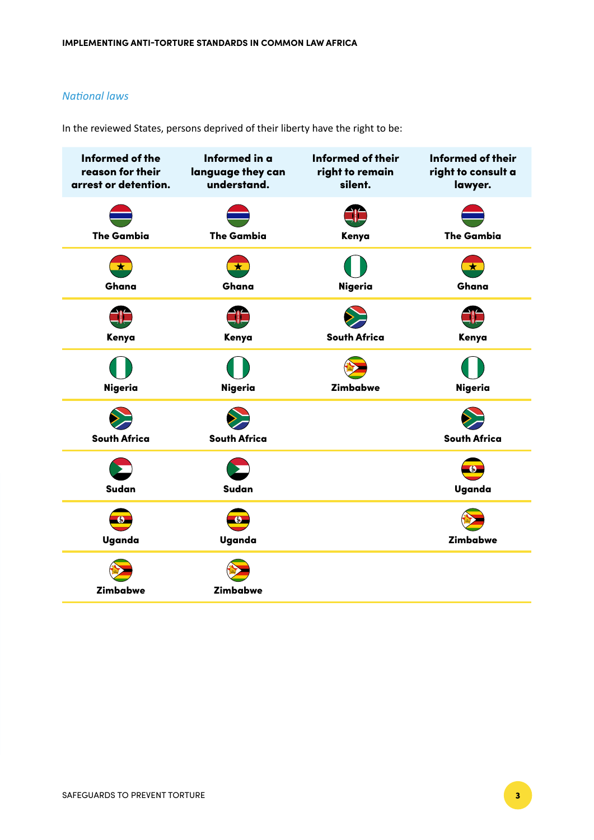## *National laws*

In the reviewed States, persons deprived of their liberty have the right to be:

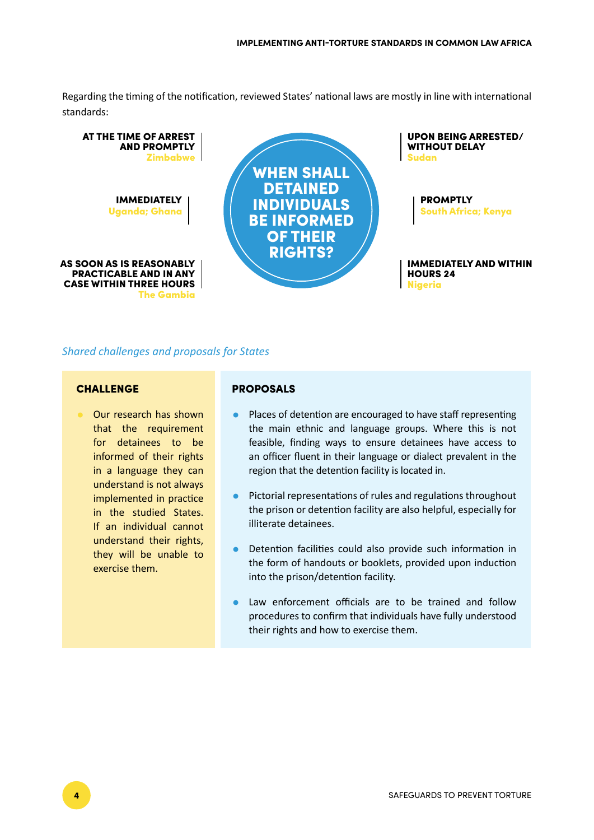Regarding the timing of the notification, reviewed States' national laws are mostly in line with international standards:



## *Shared challenges and proposals for States*

#### **CHALLENGE**

• Our research has shown that the requirement for detainees to be informed of their rights in a language they can understand is not always implemented in practice in the studied States. If an individual cannot understand their rights, they will be unable to exercise them.

#### PROPOSALS

- Places of detention are encouraged to have staff representing the main ethnic and language groups. Where this is not feasible, finding ways to ensure detainees have access to an officer fluent in their language or dialect prevalent in the region that the detention facility is located in.
- Pictorial representations of rules and regulations throughout the prison or detention facility are also helpful, especially for illiterate detainees.
- Detention facilities could also provide such information in the form of handouts or booklets, provided upon induction into the prison/detention facility.
- Law enforcement officials are to be trained and follow procedures to confirm that individuals have fully understood their rights and how to exercise them.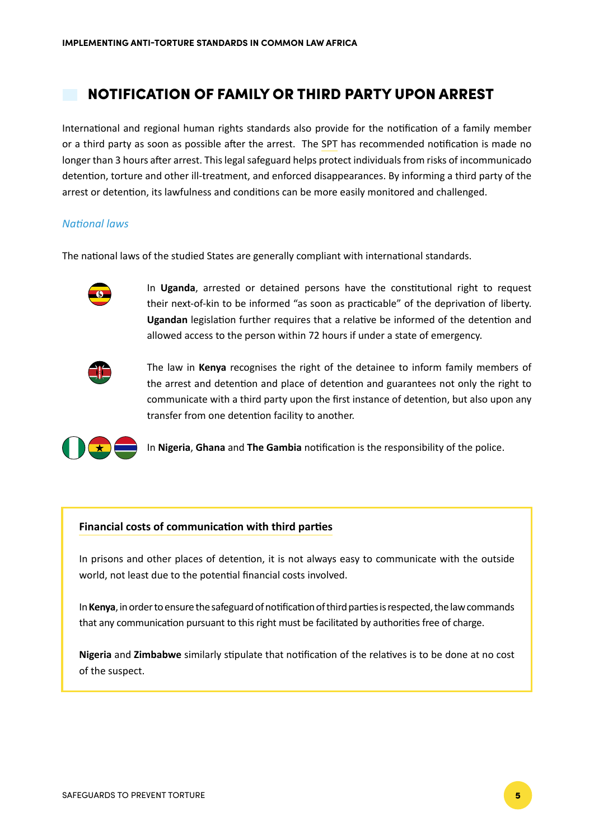# NOTIFICATION OF FAMILY OR THIRD PARTY UPON ARREST

International and regional human rights standards also provide for the notification of a family member or a third party as soon as possible after the arrest. The [SPT](https://undocs.org/Home/Mobile?FinalSymbol=CAT%2FOP%2FSWE%2F1&Language=E&DeviceType=Desktop&LangRequested=False) has recommended notification is made no longer than 3 hours after arrest. This legal safeguard helps protect individuals from risks of incommunicado detention, torture and other ill-treatment, and enforced disappearances. By informing a third party of the arrest or detention, its lawfulness and conditions can be more easily monitored and challenged.

### *National laws*

The national laws of the studied States are generally compliant with international standards.



In **Uganda**, arrested or detained persons have the constitutional right to request their next-of-kin to be informed "as soon as practicable" of the deprivation of liberty. **Ugandan** legislation further requires that a relative be informed of the detention and allowed access to the person within 72 hours if under a state of emergency.



The law in **Kenya** recognises the right of the detainee to inform family members of the arrest and detention and place of detention and guarantees not only the right to communicate with a third party upon the first instance of detention, but also upon any transfer from one detention facility to another.



In **Nigeria**, **Ghana** and **The Gambia** notification is the responsibility of the police.

#### **Financial costs of communication with third parties**

In prisons and other places of detention, it is not always easy to communicate with the outside world, not least due to the potential financial costs involved.

In **Kenya**, in order to ensure the safeguard of notification of third parties is respected, the law commands that any communication pursuant to this right must be facilitated by authorities free of charge.

**Nigeria** and **Zimbabwe** similarly stipulate that notification of the relatives is to be done at no cost of the suspect.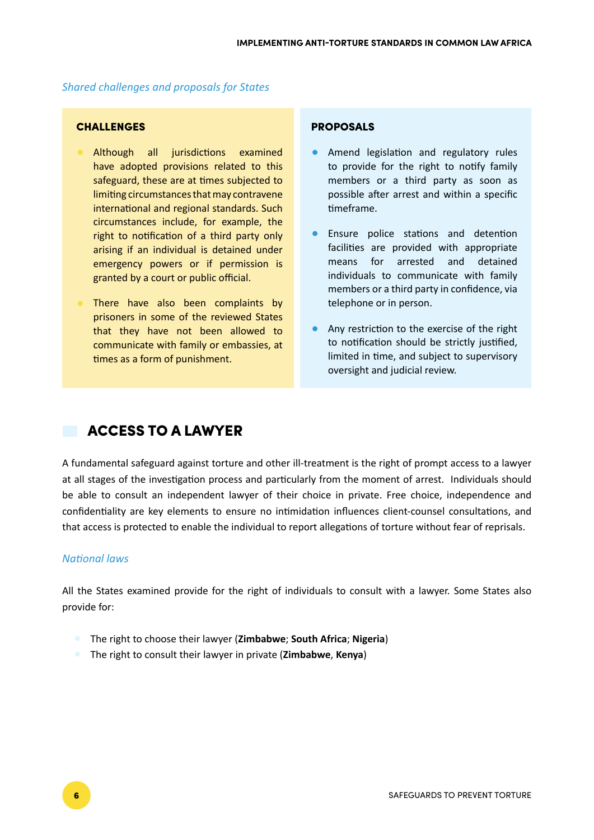## *Shared challenges and proposals for States*

## **CHALLENGES**

- Although all jurisdictions examined have adopted provisions related to this safeguard, these are at times subjected to limiting circumstances that may contravene international and regional standards. Such circumstances include, for example, the right to notification of a third party only arising if an individual is detained under emergency powers or if permission is granted by a court or public official.
- There have also been complaints by prisoners in some of the reviewed States that they have not been allowed to communicate with family or embassies, at times as a form of punishment.

## PROPOSALS

- Amend legislation and regulatory rules to provide for the right to notify family members or a third party as soon as possible after arrest and within a specific timeframe.
- Ensure police stations and detention facilities are provided with appropriate means for arrested and detained individuals to communicate with family members or a third party in confidence, via telephone or in person.
- Any restriction to the exercise of the right to notification should be strictly justified, limited in time, and subject to supervisory oversight and judicial review.

## ACCESS TO A LAWYER

A fundamental safeguard against torture and other ill-treatment is the right of prompt access to a lawyer at all stages of the investigation process and particularly from the moment of arrest. Individuals should be able to consult an independent lawyer of their choice in private. Free choice, independence and confidentiality are key elements to ensure no intimidation influences client-counsel consultations, and that access is protected to enable the individual to report allegations of torture without fear of reprisals.

## *National laws*

All the States examined provide for the right of individuals to consult with a lawyer. Some States also provide for:

- The right to choose their lawyer (**Zimbabwe**; **South Africa**; **Nigeria**)
- The right to consult their lawyer in private (**Zimbabwe**, **Kenya**)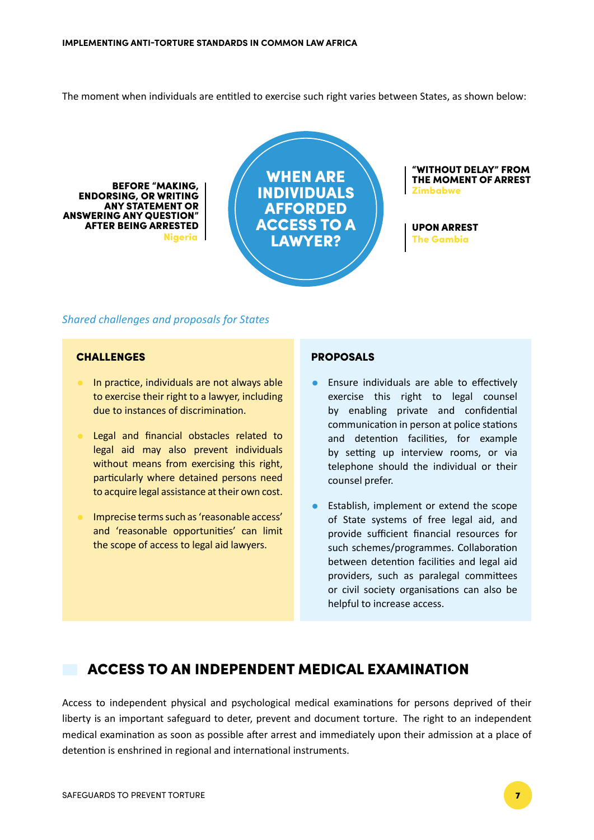The moment when individuals are entitled to exercise such right varies between States, as shown below:

Nigeria BEFORE "MAKING, ENDORSING, OR WRITING ANY STATEMENT OR ANSWERING ANY QUESTION" AFTER BEING ARRESTED

WHEN ARE INDIVIDUALS AFFORDED ACCESS TO A LAWYER?

"WITHOUT DELAY" FROM THE MOMENT OF ARREST Zimbabwe

UPON ARREST The Gambia

#### *Shared challenges and proposals for States*

## CHALLENGES

- In practice, individuals are not always able to exercise their right to a lawyer, including due to instances of discrimination.
- Legal and financial obstacles related to legal aid may also prevent individuals without means from exercising this right, particularly where detained persons need to acquire legal assistance at their own cost.
- Imprecise terms such as 'reasonable access' and 'reasonable opportunities' can limit the scope of access to legal aid lawyers.

#### PROPOSALS

- Ensure individuals are able to effectively exercise this right to legal counsel by enabling private and confidential communication in person at police stations and detention facilities, for example by setting up interview rooms, or via telephone should the individual or their counsel prefer.
- Establish, implement or extend the scope of State systems of free legal aid, and provide sufficient financial resources for such schemes/programmes. Collaboration between detention facilities and legal aid providers, such as paralegal committees or civil society organisations can also be helpful to increase access.

## ACCESS TO AN INDEPENDENT MEDICAL EXAMINATION

Access to independent physical and psychological medical examinations for persons deprived of their liberty is an important safeguard to deter, prevent and document torture. The right to an independent medical examination as soon as possible after arrest and immediately upon their admission at a place of detention is enshrined in regional and international instruments.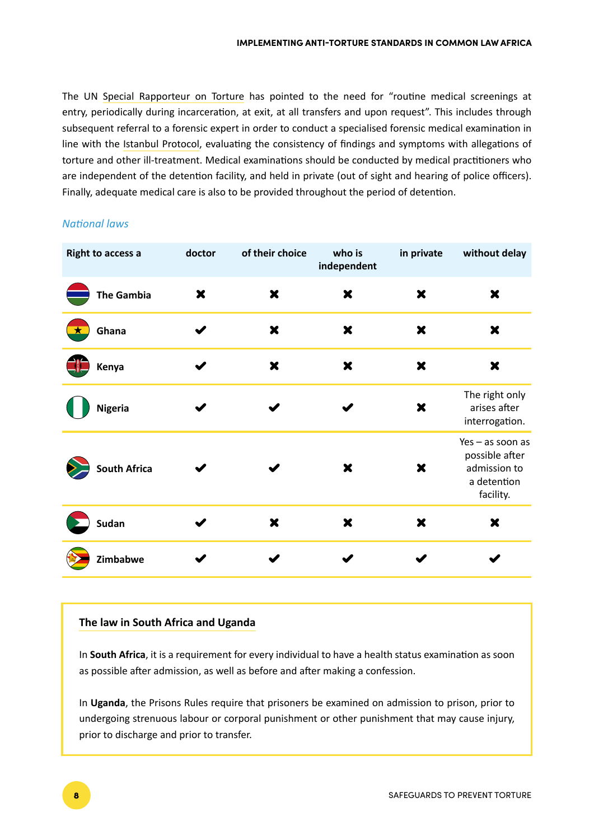The UN [Special Rapporteur on Torture](https://undocs.org/Home/Mobile?FinalSymbol=A%2F69%2F387&Language=E&DeviceType=Desktop&LangRequested=False) has pointed to the need for "routine medical screenings at entry, periodically during incarceration, at exit, at all transfers and upon request". This includes through subsequent referral to a forensic expert in order to conduct a specialised forensic medical examination in line with the [Istanbul Protocol,](https://www.ohchr.org/documents/publications/training8rev1en.pdf) evaluating the consistency of findings and symptoms with allegations of torture and other ill-treatment. Medical examinations should be conducted by medical practitioners who are independent of the detention facility, and held in private (out of sight and hearing of police officers). Finally, adequate medical care is also to be provided throughout the period of detention.

## *National laws*

| <b>Right to access a</b> | doctor                    | of their choice           | who is<br>independent     | in private                | without delay                                                                  |
|--------------------------|---------------------------|---------------------------|---------------------------|---------------------------|--------------------------------------------------------------------------------|
| <b>The Gambia</b>        | $\boldsymbol{\mathsf{x}}$ | ×                         | ×                         | $\boldsymbol{\mathsf{x}}$ | $\boldsymbol{\mathsf{x}}$                                                      |
| Ghana                    |                           | $\boldsymbol{\mathsf{x}}$ | $\boldsymbol{\mathsf{x}}$ | $\boldsymbol{\mathsf{x}}$ | $\boldsymbol{\mathsf{x}}$                                                      |
| Kenya                    |                           | $\boldsymbol{\mathsf{x}}$ | $\boldsymbol{\mathsf{x}}$ | $\boldsymbol{\mathsf{x}}$ | $\boldsymbol{\mathsf{x}}$                                                      |
| <b>Nigeria</b>           |                           |                           |                           | X                         | The right only<br>arises after<br>interrogation.                               |
| <b>South Africa</b>      |                           |                           | $\boldsymbol{\mathsf{x}}$ | X                         | Yes - as soon as<br>possible after<br>admission to<br>a detention<br>facility. |
| <b>Sudan</b>             |                           | ×                         | $\boldsymbol{\mathsf{x}}$ | ×                         | $\boldsymbol{\mathsf{x}}$                                                      |
| Zimbabwe                 |                           |                           |                           |                           |                                                                                |

## **The law in South Africa and Uganda**

In **South Africa**, it is a requirement for every individual to have a health status examination as soon as possible after admission, as well as before and after making a confession.

In **Uganda**, the Prisons Rules require that prisoners be examined on admission to prison, prior to undergoing strenuous labour or corporal punishment or other punishment that may cause injury, prior to discharge and prior to transfer.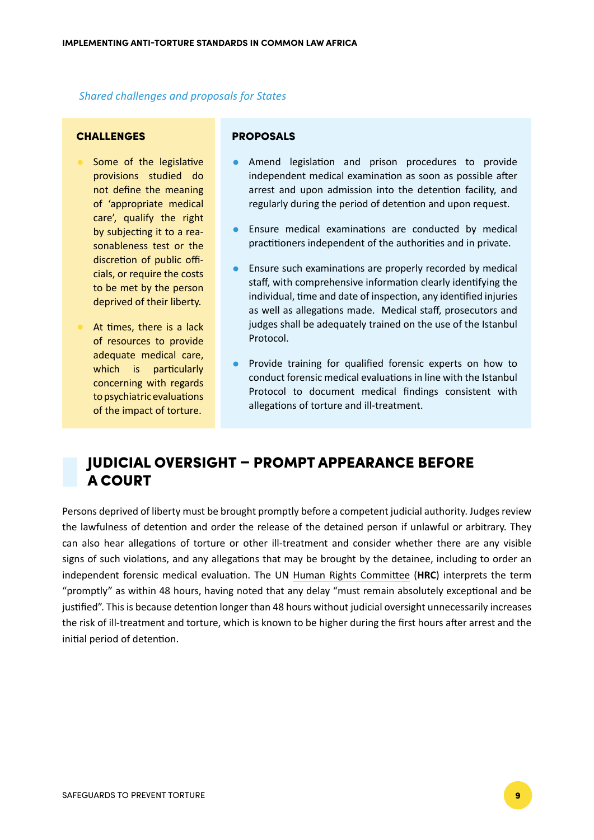*Shared challenges and proposals for States*

## **CHALLENGES**

- Some of the legislative provisions studied do not define the meaning of 'appropriate medical care', qualify the right by subjecting it to a reasonableness test or the discretion of public officials, or require the costs to be met by the person deprived of their liberty.
- At times, there is a lack of resources to provide adequate medical care, which is particularly concerning with regards to psychiatric evaluations of the impact of torture.

## PROPOSALS

- Amend legislation and prison procedures to provide independent medical examination as soon as possible after arrest and upon admission into the detention facility, and regularly during the period of detention and upon request.
- Ensure medical examinations are conducted by medical practitioners independent of the authorities and in private.
- Ensure such examinations are properly recorded by medical staff, with comprehensive information clearly identifying the individual, time and date of inspection, any identified injuries as well as allegations made. Medical staff, prosecutors and judges shall be adequately trained on the use of the Istanbul Protocol.
- Provide training for qualified forensic experts on how to conduct forensic medical evaluations in line with the Istanbul Protocol to document medical findings consistent with allegations of torture and ill-treatment.

# JUDICIAL OVERSIGHT – PROMPT APPEARANCE BEFORE A COURT

Persons deprived of liberty must be brought promptly before a competent judicial authority. Judges review the lawfulness of detention and order the release of the detained person if unlawful or arbitrary. They can also hear allegations of torture or other ill-treatment and consider whether there are any visible signs of such violations, and any allegations that may be brought by the detainee, including to order an independent forensic medical evaluation. The UN [Human Rights Committee](https://undocs.org/CCPR/C/GC/35) (**HRC**) interprets the term "promptly" as within 48 hours, having noted that any delay "must remain absolutely exceptional and be justified". This is because detention longer than 48 hours without judicial oversight unnecessarily increases the risk of ill-treatment and torture, which is known to be higher during the first hours after arrest and the initial period of detention.